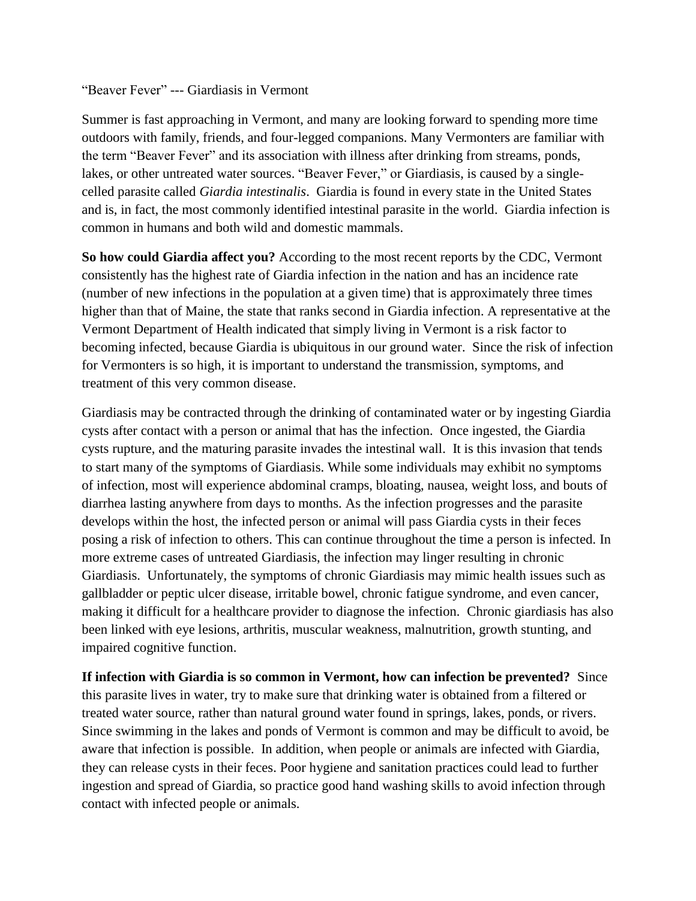"Beaver Fever" --- Giardiasis in Vermont

Summer is fast approaching in Vermont, and many are looking forward to spending more time outdoors with family, friends, and four-legged companions. Many Vermonters are familiar with the term "Beaver Fever" and its association with illness after drinking from streams, ponds, lakes, or other untreated water sources. "Beaver Fever," or Giardiasis, is caused by a singlecelled parasite called *Giardia intestinalis*. Giardia is found in every state in the United States and is, in fact, the most commonly identified intestinal parasite in the world. Giardia infection is common in humans and both wild and domestic mammals.

**So how could Giardia affect you?** According to the most recent reports by the CDC, Vermont consistently has the highest rate of Giardia infection in the nation and has an incidence rate (number of new infections in the population at a given time) that is approximately three times higher than that of Maine, the state that ranks second in Giardia infection. A representative at the Vermont Department of Health indicated that simply living in Vermont is a risk factor to becoming infected, because Giardia is ubiquitous in our ground water. Since the risk of infection for Vermonters is so high, it is important to understand the transmission, symptoms, and treatment of this very common disease.

Giardiasis may be contracted through the drinking of contaminated water or by ingesting Giardia cysts after contact with a person or animal that has the infection. Once ingested, the Giardia cysts rupture, and the maturing parasite invades the intestinal wall. It is this invasion that tends to start many of the symptoms of Giardiasis. While some individuals may exhibit no symptoms of infection, most will experience abdominal cramps, bloating, nausea, weight loss, and bouts of diarrhea lasting anywhere from days to months. As the infection progresses and the parasite develops within the host, the infected person or animal will pass Giardia cysts in their feces posing a risk of infection to others. This can continue throughout the time a person is infected. In more extreme cases of untreated Giardiasis, the infection may linger resulting in chronic Giardiasis. Unfortunately, the symptoms of chronic Giardiasis may mimic health issues such as gallbladder or peptic ulcer disease, irritable bowel, chronic fatigue syndrome, and even cancer, making it difficult for a healthcare provider to diagnose the infection. Chronic giardiasis has also been linked with eye lesions, arthritis, muscular weakness, malnutrition, growth stunting, and impaired cognitive function.

**If infection with Giardia is so common in Vermont, how can infection be prevented?** Since this parasite lives in water, try to make sure that drinking water is obtained from a filtered or treated water source, rather than natural ground water found in springs, lakes, ponds, or rivers. Since swimming in the lakes and ponds of Vermont is common and may be difficult to avoid, be aware that infection is possible. In addition, when people or animals are infected with Giardia, they can release cysts in their feces. Poor hygiene and sanitation practices could lead to further ingestion and spread of Giardia, so practice good hand washing skills to avoid infection through contact with infected people or animals.